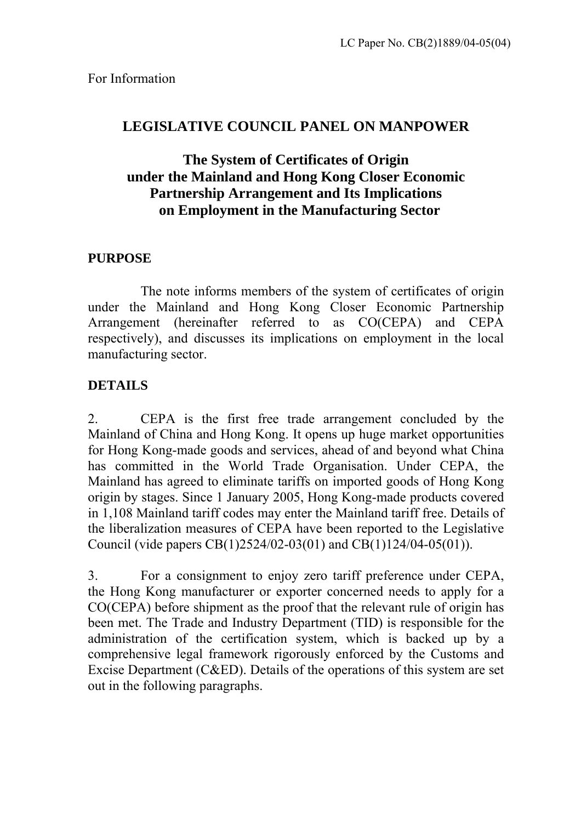# **LEGISLATIVE COUNCIL PANEL ON MANPOWER**

# **The System of Certificates of Origin under the Mainland and Hong Kong Closer Economic Partnership Arrangement and Its Implications on Employment in the Manufacturing Sector**

# **PURPOSE**

The note informs members of the system of certificates of origin under the Mainland and Hong Kong Closer Economic Partnership Arrangement (hereinafter referred to as CO(CEPA) and CEPA respectively), and discusses its implications on employment in the local manufacturing sector.

# **DETAILS**

2. CEPA is the first free trade arrangement concluded by the Mainland of China and Hong Kong. It opens up huge market opportunities for Hong Kong-made goods and services, ahead of and beyond what China has committed in the World Trade Organisation. Under CEPA, the Mainland has agreed to eliminate tariffs on imported goods of Hong Kong origin by stages. Since 1 January 2005, Hong Kong-made products covered in 1,108 Mainland tariff codes may enter the Mainland tariff free. Details of the liberalization measures of CEPA have been reported to the Legislative Council (vide papers CB(1)2524/02-03(01) and CB(1)124/04-05(01)).

3. For a consignment to enjoy zero tariff preference under CEPA, the Hong Kong manufacturer or exporter concerned needs to apply for a CO(CEPA) before shipment as the proof that the relevant rule of origin has been met. The Trade and Industry Department (TID) is responsible for the administration of the certification system, which is backed up by a comprehensive legal framework rigorously enforced by the Customs and Excise Department (C&ED). Details of the operations of this system are set out in the following paragraphs.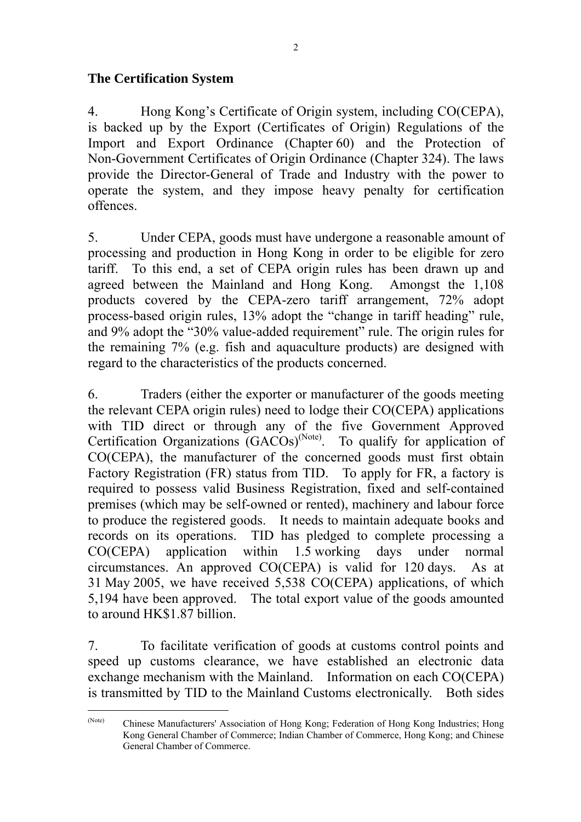#### **The Certification System**

 $\overline{a}$ 

4. Hong Kong's Certificate of Origin system, including CO(CEPA), is backed up by the Export (Certificates of Origin) Regulations of the Import and Export Ordinance (Chapter 60) and the Protection of Non-Government Certificates of Origin Ordinance (Chapter 324). The laws provide the Director-General of Trade and Industry with the power to operate the system, and they impose heavy penalty for certification offences.

5. Under CEPA, goods must have undergone a reasonable amount of processing and production in Hong Kong in order to be eligible for zero tariff. To this end, a set of CEPA origin rules has been drawn up and agreed between the Mainland and Hong Kong. Amongst the 1,108 products covered by the CEPA-zero tariff arrangement, 72% adopt process-based origin rules, 13% adopt the "change in tariff heading" rule, and 9% adopt the "30% value-added requirement" rule. The origin rules for the remaining 7% (e.g. fish and aquaculture products) are designed with regard to the characteristics of the products concerned.

6. Traders (either the exporter or manufacturer of the goods meeting the relevant CEPA origin rules) need to lodge their CO(CEPA) applications with TID direct or through any of the five Government Approved Certification Organizations (GACOs)<sup>(Note)</sup>. To qualify for application of CO(CEPA), the manufacturer of the concerned goods must first obtain Factory Registration (FR) status from TID. To apply for FR, a factory is required to possess valid Business Registration, fixed and self-contained premises (which may be self-owned or rented), machinery and labour force to produce the registered goods. It needs to maintain adequate books and records on its operations. TID has pledged to complete processing a CO(CEPA) application within 1.5 working days under normal circumstances. An approved CO(CEPA) is valid for 120 days. As at 31 May 2005, we have received 5,538 CO(CEPA) applications, of which 5,194 have been approved. The total export value of the goods amounted to around HK\$1.87 billion.

7. To facilitate verification of goods at customs control points and speed up customs clearance, we have established an electronic data exchange mechanism with the Mainland. Information on each CO(CEPA) is transmitted by TID to the Mainland Customs electronically. Both sides

<span id="page-1-0"></span><sup>(</sup>Note) Chinese Manufacturers' Association of Hong Kong; Federation of Hong Kong Industries; Hong Kong General Chamber of Commerce; Indian Chamber of Commerce, Hong Kong; and Chinese General Chamber of Commerce.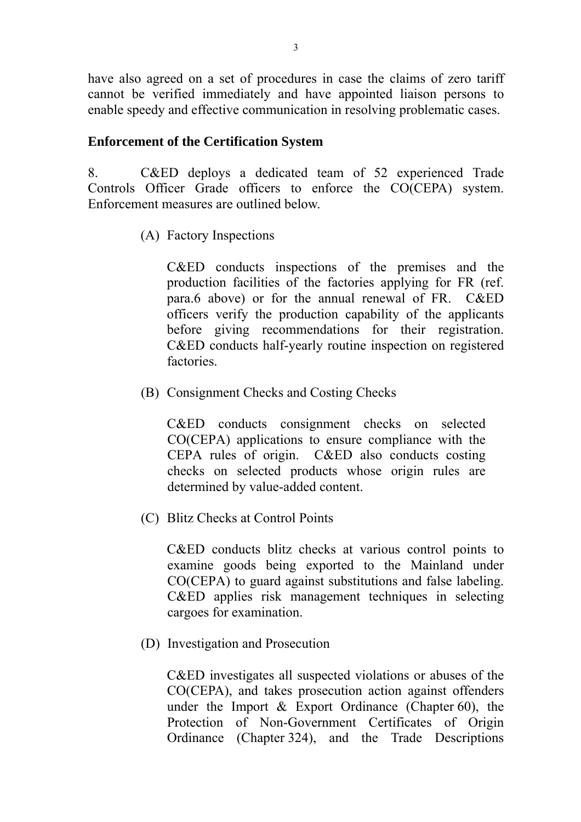have also agreed on a set of procedures in case the claims of zero tariff cannot be verified immediately and have appointed liaison persons to enable speedy and effective communication in resolving problematic cases.

#### **Enforcement of the Certification System**

8. C&ED deploys a dedicated team of 52 experienced Trade Controls Officer Grade officers to enforce the CO(CEPA) system. Enforcement measures are outlined below.

(A) Factory Inspections

 C&ED conducts inspections of the premises and the production facilities of the factories applying for FR (ref. para.6 above) or for the annual renewal of FR. C&ED officers verify the production capability of the applicants before giving recommendations for their registration. C&ED conducts half-yearly routine inspection on registered factories.

(B) Consignment Checks and Costing Checks

 C&ED conducts consignment checks on selected CO(CEPA) applications to ensure compliance with the CEPA rules of origin. C&ED also conducts costing checks on selected products whose origin rules are determined by value-added content.

(C) Blitz Checks at Control Points

 C&ED conducts blitz checks at various control points to examine goods being exported to the Mainland under CO(CEPA) to guard against substitutions and false labeling. C&ED applies risk management techniques in selecting cargoes for examination.

(D) Investigation and Prosecution

C&ED investigates all suspected violations or abuses of the CO(CEPA), and takes prosecution action against offenders under the Import & Export Ordinance (Chapter 60), the Protection of Non-Government Certificates of Origin Ordinance (Chapter 324), and the Trade Descriptions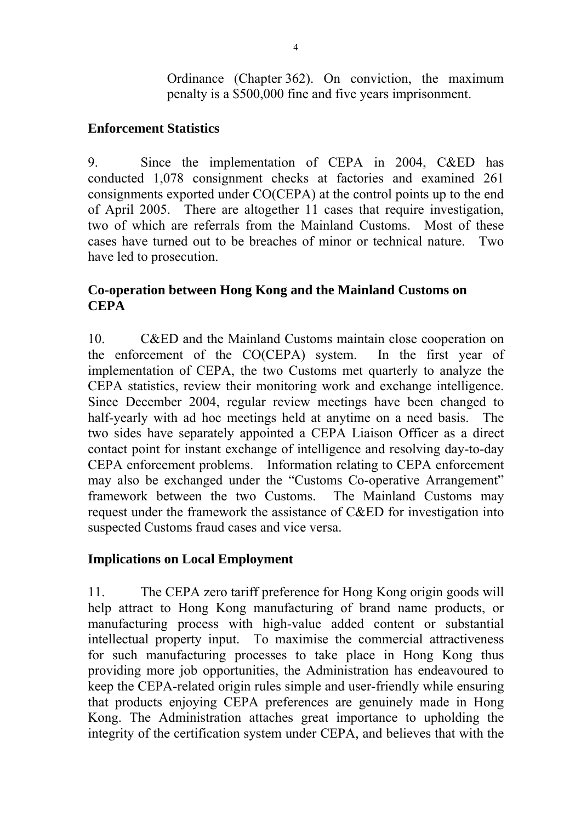Ordinance (Chapter 362). On conviction, the maximum penalty is a \$500,000 fine and five years imprisonment.

#### **Enforcement Statistics**

9. Since the implementation of CEPA in 2004, C&ED has conducted 1,078 consignment checks at factories and examined 261 consignments exported under CO(CEPA) at the control points up to the end of April 2005. There are altogether 11 cases that require investigation, two of which are referrals from the Mainland Customs. Most of these cases have turned out to be breaches of minor or technical nature. Two have led to prosecution.

## **Co-operation between Hong Kong and the Mainland Customs on CEPA**

10. C&ED and the Mainland Customs maintain close cooperation on the enforcement of the CO(CEPA) system. In the first year of implementation of CEPA, the two Customs met quarterly to analyze the CEPA statistics, review their monitoring work and exchange intelligence. Since December 2004, regular review meetings have been changed to half-yearly with ad hoc meetings held at anytime on a need basis. The two sides have separately appointed a CEPA Liaison Officer as a direct contact point for instant exchange of intelligence and resolving day-to-day CEPA enforcement problems. Information relating to CEPA enforcement may also be exchanged under the "Customs Co-operative Arrangement" framework between the two Customs. The Mainland Customs may request under the framework the assistance of C&ED for investigation into suspected Customs fraud cases and vice versa.

## **Implications on Local Employment**

11. The CEPA zero tariff preference for Hong Kong origin goods will help attract to Hong Kong manufacturing of brand name products, or manufacturing process with high-value added content or substantial intellectual property input. To maximise the commercial attractiveness for such manufacturing processes to take place in Hong Kong thus providing more job opportunities, the Administration has endeavoured to keep the CEPA-related origin rules simple and user-friendly while ensuring that products enjoying CEPA preferences are genuinely made in Hong Kong. The Administration attaches great importance to upholding the integrity of the certification system under CEPA, and believes that with the